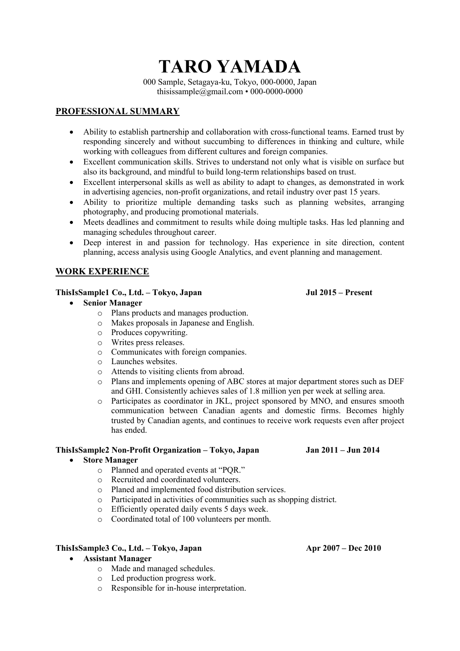# **TARO YAMADA**

000 Sample, Setagaya-ku, Tokyo, 000-0000, Japan thisissample@gmail.com • 000-0000-0000

# **PROFESSIONAL SUMMARY**

- Ability to establish partnership and collaboration with cross-functional teams. Earned trust by responding sincerely and without succumbing to differences in thinking and culture, while working with colleagues from different cultures and foreign companies.
- Excellent communication skills. Strives to understand not only what is visible on surface but also its background, and mindful to build long-term relationships based on trust.
- Excellent interpersonal skills as well as ability to adapt to changes, as demonstrated in work in advertising agencies, non-profit organizations, and retail industry over past 15 years.
- Ability to prioritize multiple demanding tasks such as planning websites, arranging photography, and producing promotional materials.
- Meets deadlines and commitment to results while doing multiple tasks. Has led planning and managing schedules throughout career.
- Deep interest in and passion for technology. Has experience in site direction, content planning, access analysis using Google Analytics, and event planning and management.

# **WORK EXPERIENCE**

### **ThisIsSample1 Co., Ltd. – Tokyo, Japan Jul 2015 – Present**

# • **Senior Manager**

- o Plans products and manages production.
- o Makes proposals in Japanese and English.
- o Produces copywriting.
- o Writes press releases.
- o Communicates with foreign companies.
- o Launches websites.
- o Attends to visiting clients from abroad.
- o Plans and implements opening of ABC stores at major department stores such as DEF and GHI. Consistently achieves sales of 1.8 million yen per week at selling area.
- o Participates as coordinator in JKL, project sponsored by MNO, and ensures smooth communication between Canadian agents and domestic firms. Becomes highly trusted by Canadian agents, and continues to receive work requests even after project has ended.

# **ThisIsSample2 Non-Profit Organization – Tokyo, Japan Jan 2011 – Jun 2014**

### • **Store Manager**

- o Planned and operated events at "PQR."
- o Recruited and coordinated volunteers.
- o Planed and implemented food distribution services.
- o Participated in activities of communities such as shopping district.
- o Efficiently operated daily events 5 days week.
- o Coordinated total of 100 volunteers per month.

# **ThisIsSample3 Co., Ltd. – Tokyo, Japan Apr 2007 – Dec 2010**

# • **Assistant Manager**

- o Made and managed schedules.
- o Led production progress work.
- o Responsible for in-house interpretation.